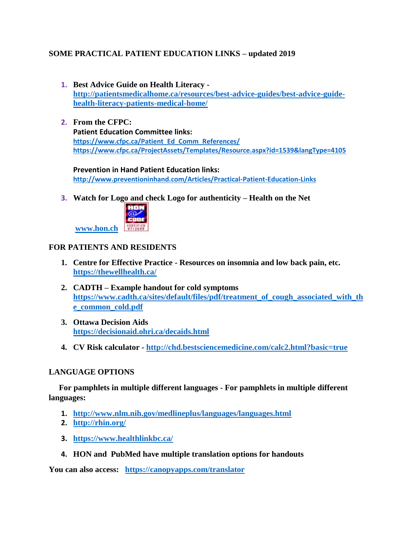# **SOME PRACTICAL PATIENT EDUCATION LINKS – updated 2019**

- **1. Best Advice Guide on Health Literacy [http://patientsmedicalhome.ca/resources/best-advice-guides/best-advice-guide](http://patientsmedicalhome.ca/resources/best-advice-guides/best-advice-guide-health-literacy-patients-medical-home/)[health-literacy-patients-medical-home/](http://patientsmedicalhome.ca/resources/best-advice-guides/best-advice-guide-health-literacy-patients-medical-home/)**
- **2. From the CFPC: Patient Education Committee links: [https://www.cfpc.ca/Patient\\_Ed\\_Comm\\_References/](https://www.cfpc.ca/Patient_Ed_Comm_References/) <https://www.cfpc.ca/ProjectAssets/Templates/Resource.aspx?id=1539&langType=4105>**

**Prevention in Hand Patient Education links: <http://www.preventioninhand.com/Articles/Practical-Patient-Education-Links>**

**3. Watch for Logo and check Logo for authenticity – Health on the Net**



### **FOR PATIENTS AND RESIDENTS**

- **1. Centre for Effective Practice - Resources on insomnia and low back pain, etc. <https://thewellhealth.ca/>**
- **2. CADTH – Example handout for cold symptoms [https://www.cadth.ca/sites/default/files/pdf/treatment\\_of\\_cough\\_associated\\_with\\_th](https://www.cadth.ca/sites/default/files/pdf/treatment_of_cough_associated_with_the_common_cold.pdf) [e\\_common\\_cold.pdf](https://www.cadth.ca/sites/default/files/pdf/treatment_of_cough_associated_with_the_common_cold.pdf)**
- **3. Ottawa Decision Aids <https://decisionaid.ohri.ca/decaids.html>**
- **4. CV Risk calculator - <http://chd.bestsciencemedicine.com/calc2.html?basic=true>**

### **LANGUAGE OPTIONS**

 **For pamphlets in multiple different languages - For pamphlets in multiple different languages:**

- **1. <http://www.nlm.nih.gov/medlineplus/languages/languages.html>**
- **2. <http://rhin.org/>**
- **3. <https://www.healthlinkbc.ca/>**
- **4. HON and PubMed have multiple translation options for handouts**

**You can also access: <https://canopyapps.com/translator>**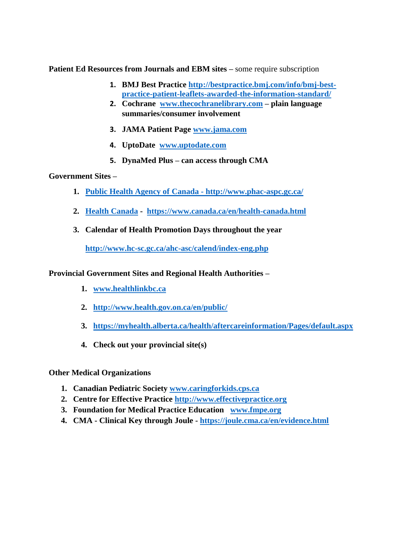**Patient Ed Resources from Journals and EBM sites – some require subscription** 

- **1. BMJ Best Practice [http://bestpractice.bmj.com/info/bmj-best](http://bestpractice.bmj.com/info/bmj-best-practice-patient-leaflets-awarded-the-information-standard/)[practice-patient-leaflets-awarded-the-information-standard/](http://bestpractice.bmj.com/info/bmj-best-practice-patient-leaflets-awarded-the-information-standard/)**
- **2. Cochrane [www.thecochranelibrary.com](http://www.thecochranelibrary.com/) – plain language summaries/consumer involvement**
- **3. JAMA Patient Page [www.jama.com](http://www.jama.com/)**
- **4. UptoDate [www.uptodate.com](http://www.uptodate.com/)**
- **5. DynaMed Plus – can access through CMA**

#### **Government Sites –**

- **1. [Public Health Agency of](file:///C:/Users/cam430/AppData/Local/Microsoft/Windows/INetCache/Content.Outlook/SASKFWP0/Public%20Health%20Agency%20of) [Canada -](http://www.phac-aspc.gc.ca/) <http://www.phac-aspc.gc.ca/>**
- **2. [Health](file:///C:/Users/cam430/AppData/Local/Microsoft/Windows/INetCache/Content.Outlook/SASKFWP0/Health) [Canada](https://www.canada.ca/en/health-canada.html) <https://www.canada.ca/en/health-canada.html>**
- **3. Calendar of Health Promotion Days throughout the year**

**<http://www.hc-sc.gc.ca/ahc-asc/calend/index-eng.php>**

**Provincial Government Sites and Regional Health Authorities –**

- **1. [www.healthlinkbc.ca](http://www.healthlinkbc.ca/)**
- **2. <http://www.health.gov.on.ca/en/public/>**
- **3. <https://myhealth.alberta.ca/health/aftercareinformation/Pages/default.aspx>**
- **4. Check out your provincial site(s)**

### **Other Medical Organizations**

- **1. Canadian Pediatric Society [www.caringforkids.cps.ca](http://www.caringforkids.cps.ca/)**
- **2. Centre for Effective Practice [http://www.effectivepractice.org](http://www.effectivepractice.org/)**
- **3. Foundation for Medical Practice Education [www.fmpe.org](http://www.fmpe.org/)**
- **4. CMA - Clinical Key through Joule - <https://joule.cma.ca/en/evidence.html>**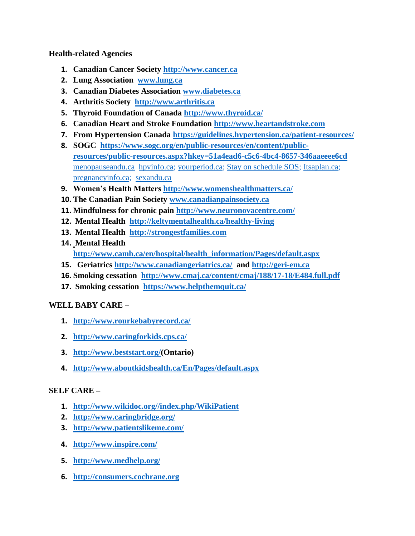**Health-related Agencies**

- **1. Canadian Cancer Society [http://www.cancer.ca](http://www.cancer.ca/)**
- **2. Lung Association [www.lung.ca](http://www.lung.ca/)**
- **3. Canadian Diabetes Association [www.diabetes.ca](http://www.diabetes.ca/)**
- **4. Arthritis Society [http://www.arthritis.ca](http://www.arthritis.ca/)**
- **5. Thyroid Foundation of Canada<http://www.thyroid.ca/>**
- **6. Canadian Heart and Stroke Foundation [http://www.heartandstroke.com](http://www.heartandstroke.com/)**
- **7. From Hypertension Canada<https://guidelines.hypertension.ca/patient-resources/>**
- **8. SOGC [https://www.sogc.org/en/public-resources/en/content/public](https://www.sogc.org/en/public-resources/en/content/public-resources/public-resources.aspx?hkey=51a4ead6-c5c6-4bc4-8657-346aaeeee6cd)[resources/public-resources.aspx?hkey=51a4ead6-c5c6-4bc4-8657-346aaeeee6cd](https://www.sogc.org/en/public-resources/en/content/public-resources/public-resources.aspx?hkey=51a4ead6-c5c6-4bc4-8657-346aaeeee6cd)** [menopauseandu.ca](http://www.menopauseandu.ca/) [hpvinfo.ca;](http://www.hpvinfo.ca/) [yourperiod.ca;](http://www.yourperiod.ca/) [Stay on schedule SOS;](https://www.sexandu.ca/sos/) [Itsaplan.ca;](http://www.itsaplan.ca/) [pregnancyinfo.ca;](http://www.pregnancyinfo.ca/) [sexandu.ca](http://www.sexandu.ca/)
- **9. Women's Health Matters<http://www.womenshealthmatters.ca/>**
- **10. The Canadian Pain Society [www.canadianpainsociety.ca](http://www.canadianpainsociety.ca/)**
- **11. Mindfulness for chronic pain<http://www.neuronovacentre.com/>**
- **12. Mental Health <http://keltymentalhealth.ca/healthy-living>**
- **13. Mental Health http:/[/strongestfamilies.com](http://strongestfamilies.com/)**
- **14. Mental Health [http://www.camh.ca/en/hospital/health\\_information/Pages/default.aspx](http://www.camh.ca/en/hospital/health_information/Pages/default.aspx)**
- **15. Geriatrics<http://www.canadiangeriatrics.ca/>and [http://geri-em.ca](http://geri-em.ca/)**
- **16. Smoking cessation <http://www.cmaj.ca/content/cmaj/188/17-18/E484.full.pdf>**
- **17. Smoking cessation <https://www.helpthemquit.ca/>**

### **WELL BABY CARE –**

- **1. http://www.rourkebabyrecord.ca/**
- **2. <http://www.caringforkids.cps.ca/>**
- **3. [http://www.beststart.org/\(](http://www.beststart.org/)Ontario)**
- **4. <http://www.aboutkidshealth.ca/En/Pages/default.aspx>**

### **SELF CARE –**

- **1. [http://www.wikidoc.org//index.php/WikiPatient](http://www.wikidoc.org/index.php/WikiPatient)**
- **2. <http://www.caringbridge.org/>**
- **3. <http://www.patientslikeme.com/>**
- **4. <http://www.inspire.com/>**
- **5. <http://www.medhelp.org/>**
- **6. [http://consumers.cochrane.org](http://consumers.cochrane.org/)**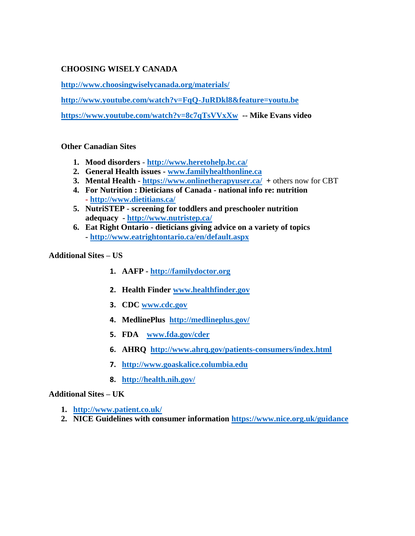## **CHOOSING WISELY CANADA**

**<http://www.choosingwiselycanada.org/materials/>**

**<http://www.youtube.com/watch?v=FqQ-JuRDkl8&feature=youtu.be>**

**<https://www.youtube.com/watch?v=8c7qTsVVxXw>-- Mike Evans video**

### **Other Canadian Sites**

- **1. [Mood](http://www.heretohelp.bc.ca/) [disorders](http://www.heretohelp.bc.ca/)  [http](file:///C:/Users/cam430/AppData/Local/Microsoft/Windows/INetCache/Content.Outlook/SASKFWP0/http)[://www.heretohelp.bc.ca/](http://www.heretohelp.bc.ca/)**
- **2. General Health issues - [www](http://www/)[.familyhealthonline.ca](http://www.familyhealthonline.ca/)**
- **3. Mental Health - [https](file:///C:/Users/cam430/AppData/Local/Microsoft/Windows/INetCache/Content.Outlook/SASKFWP0/https)[://www.onlinetherapyuser.ca/](https://www.onlinetherapyuser.ca/) +** others now for CBT
- **4. For Nutrition : Dieticians of Canada - national info re: nutrition - <http://www.dietitians.ca/>**
- **5. NutriSTEP - screening for toddlers and preschooler nutrition adequacy - <http://www.nutristep.ca/>**
- **6. Eat Right Ontario - dieticians giving advice on a variety of topics - <http://www.eatrightontario.ca/en/default.aspx>**

**Additional Sites – US** 

- **1. AAFP - [http://familydoctor.org](http://familydoctor.org/)**
- **2. Health Finder [www.healthfinder.gov](http://www.healthfinder.gov/)**
- **3. CDC [www.cdc.gov](http://www.cdc.gov/)**
- **4. MedlinePlus <http://medlineplus.gov/>**
- **5. FDA [www.fda.gov/cder](http://www.fda.gov/cder)**
- **6. AHRQ <http://www.ahrq.gov/patients-consumers/index.html>**
- **7. [http://www.goaskalice.columbia.edu](http://www.goaskalice.columbia.edu/)**
- **8. <http://health.nih.gov/>**

### **Additional Sites – UK**

- **1. <http://www.patient.co.uk/>**
- **2. NICE Guidelines with consumer information<https://www.nice.org.uk/guidance>**